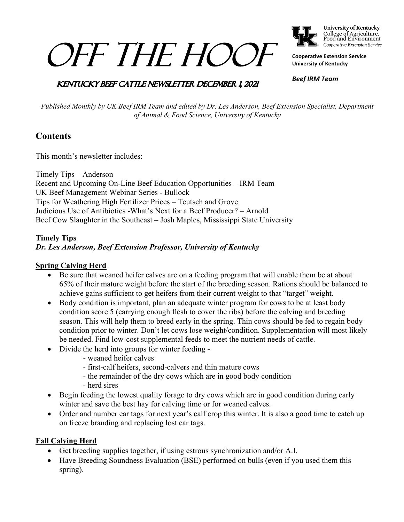# *OFF THE HOOL*



College of Agriculture,<br>Food and Environment Cooperative Extension Service

**Cooperative Extension Service University of Kentucky**

*Beef IRM Team*

## **KENTUCKY BEEF CATTLE NEWSLETTER DECEMBER 1, 2021**

*Published Monthly by UK Beef IRM Team and edited by Dr. Les Anderson, Beef Extension Specialist, Department of Animal & Food Science, University of Kentucky*

# **Contents**

This month's newsletter includes:

Timely Tips – Anderson Recent and Upcoming On-Line Beef Education Opportunities – IRM Team UK Beef Management Webinar Series - Bullock Tips for Weathering High Fertilizer Prices – Teutsch and Grove Judicious Use of Antibiotics -What's Next for a Beef Producer? – Arnold Beef Cow Slaughter in the Southeast – Josh Maples, Mississippi State University

## **Timely Tips** *Dr. Les Anderson, Beef Extension Professor, University of Kentucky*

## **Spring Calving Herd**

- Be sure that weaned heifer calves are on a feeding program that will enable them be at about 65% of their mature weight before the start of the breeding season. Rations should be balanced to achieve gains sufficient to get heifers from their current weight to that "target" weight.
- Body condition is important, plan an adequate winter program for cows to be at least body condition score 5 (carrying enough flesh to cover the ribs) before the calving and breeding season. This will help them to breed early in the spring. Thin cows should be fed to regain body condition prior to winter. Don't let cows lose weight/condition. Supplementation will most likely be needed. Find low-cost supplemental feeds to meet the nutrient needs of cattle.
- Divide the herd into groups for winter feeding
	- weaned heifer calves
	- first-calf heifers, second-calvers and thin mature cows
	- the remainder of the dry cows which are in good body condition
	- herd sires
- Begin feeding the lowest quality forage to dry cows which are in good condition during early winter and save the best hay for calving time or for weaned calves.
- Order and number ear tags for next year's calf crop this winter. It is also a good time to catch up on freeze branding and replacing lost ear tags.

## **Fall Calving Herd**

- Get breeding supplies together, if using estrous synchronization and/or A.I.
- Have Breeding Soundness Evaluation (BSE) performed on bulls (even if you used them this spring).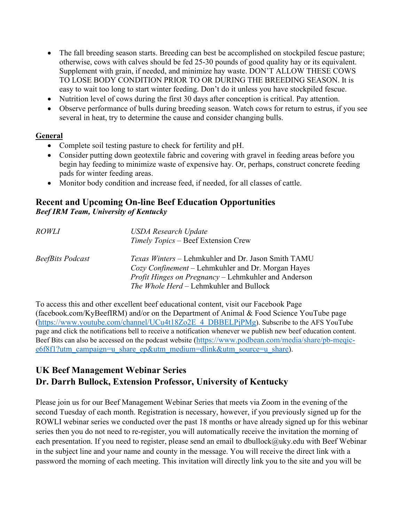- The fall breeding season starts. Breeding can best be accomplished on stockpiled fescue pasture; otherwise, cows with calves should be fed 25-30 pounds of good quality hay or its equivalent. Supplement with grain, if needed, and minimize hay waste. DON'T ALLOW THESE COWS TO LOSE BODY CONDITION PRIOR TO OR DURING THE BREEDING SEASON. It is easy to wait too long to start winter feeding. Don't do it unless you have stockpiled fescue.
- Nutrition level of cows during the first 30 days after conception is critical. Pay attention.
- Observe performance of bulls during breeding season. Watch cows for return to estrus, if you see several in heat, try to determine the cause and consider changing bulls.

### **General**

- Complete soil testing pasture to check for fertility and pH.
- Consider putting down geotextile fabric and covering with gravel in feeding areas before you begin hay feeding to minimize waste of expensive hay. Or, perhaps, construct concrete feeding pads for winter feeding areas.
- Monitor body condition and increase feed, if needed, for all classes of cattle.

# **Recent and Upcoming On-line Beef Education Opportunities** *Beef IRM Team, University of Kentucky*

| <i>ROWLI</i>     | <b>USDA Research Update</b><br>Timely Topics - Beef Extension Crew                                                                                                                                                  |
|------------------|---------------------------------------------------------------------------------------------------------------------------------------------------------------------------------------------------------------------|
| BeefBits Podcast | Texas Winters – Lehmkuhler and Dr. Jason Smith TAMU<br>Cozy Confinement – Lehmkuhler and Dr. Morgan Hayes<br><i>Profit Hinges on Pregnancy</i> – Lehmkuhler and Anderson<br>The Whole Herd - Lehmkuhler and Bullock |

To access this and other excellent beef educational content, visit our Facebook Page (facebook.com/KyBeefIRM) and/or on the Department of Animal & Food Science YouTube page [\(https://www.youtube.com/channel/UCu4t18Zo2E\\_4\\_DBBELPjPMg\)](https://www.youtube.com/channel/UCu4t18Zo2E_4_DBBELPjPMg). Subscribe to the AFS YouTube page and click the notifications bell to receive a notification whenever we publish new beef education content. Beef Bits can also be accessed on the podcast website [\(https://www.podbean.com/media/share/pb-meqic](https://www.podbean.com/media/share/pb-meqic-e6f8f1?utm_campaign=u_share_ep&utm_medium=dlink&utm_source=u_share)[e6f8f1?utm\\_campaign=u\\_share\\_ep&utm\\_medium=dlink&utm\\_source=u\\_share\)](https://www.podbean.com/media/share/pb-meqic-e6f8f1?utm_campaign=u_share_ep&utm_medium=dlink&utm_source=u_share).

# **UK Beef Management Webinar Series Dr. Darrh Bullock, Extension Professor, University of Kentucky**

Please join us for our Beef Management Webinar Series that meets via Zoom in the evening of the second Tuesday of each month. Registration is necessary, however, if you previously signed up for the ROWLI webinar series we conducted over the past 18 months or have already signed up for this webinar series then you do not need to re-register, you will automatically receive the invitation the morning of each presentation. If you need to register, please send an email to dbullock@uky.edu with Beef Webinar in the subject line and your name and county in the message. You will receive the direct link with a password the morning of each meeting. This invitation will directly link you to the site and you will be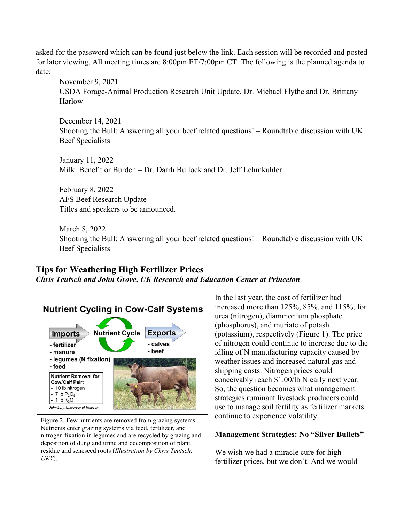asked for the password which can be found just below the link. Each session will be recorded and posted for later viewing. All meeting times are 8:00pm ET/7:00pm CT. The following is the planned agenda to date:

November 9, 2021 USDA Forage-Animal Production Research Unit Update, Dr. Michael Flythe and Dr. Brittany Harlow

December 14, 2021 Shooting the Bull: Answering all your beef related questions! – Roundtable discussion with UK Beef Specialists

January 11, 2022 Milk: Benefit or Burden – Dr. Darrh Bullock and Dr. Jeff Lehmkuhler

February 8, 2022 AFS Beef Research Update Titles and speakers to be announced.

March 8, 2022 Shooting the Bull: Answering all your beef related questions! – Roundtable discussion with UK Beef Specialists

# **Tips for Weathering High Fertilizer Prices** *Chris Teutsch and John Grove, UK Research and Education Center at Princeton*



Figure 2. Few nutrients are removed from grazing systems. Nutrients enter grazing systems via feed, fertilizer, and nitrogen fixation in legumes and are recycled by grazing and deposition of dung and urine and decomposition of plant residue and senesced roots (*Illustration by Chris Teutsch, UKY*).

In the last year, the cost of fertilizer had increased more than 125%, 85%, and 115%, for urea (nitrogen), diammonium phosphate (phosphorus), and muriate of potash (potassium), respectively (Figure 1). The price of nitrogen could continue to increase due to the idling of N manufacturing capacity caused by weather issues and increased natural gas and shipping costs. Nitrogen prices could conceivably reach \$1.00/lb N early next year. So, the question becomes what management strategies ruminant livestock producers could use to manage soil fertility as fertilizer markets continue to experience volatility.

### **Management Strategies: No "Silver Bullets"**

We wish we had a miracle cure for high fertilizer prices, but we don't. And we would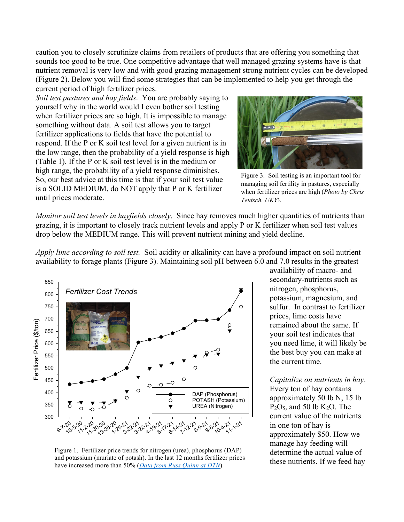caution you to closely scrutinize claims from retailers of products that are offering you something that sounds too good to be true. One competitive advantage that well managed grazing systems have is that nutrient removal is very low and with good grazing management strong nutrient cycles can be developed (Figure 2). Below you will find some strategies that can be implemented to help you get through the current period of high fertilizer prices.

*Soil test pastures and hay fields*. You are probably saying to yourself why in the world would I even bother soil testing when fertilizer prices are so high. It is impossible to manage something without data. A soil test allows you to target fertilizer applications to fields that have the potential to respond. If the P or K soil test level for a given nutrient is in the low range, then the probability of a yield response is high (Table 1). If the P or K soil test level is in the medium or high range, the probability of a yield response diminishes. So, our best advice at this time is that if your soil test value is a SOLID MEDIUM, do NOT apply that P or K fertilizer until prices moderate.



Figure 3. Soil testing is an important tool for managing soil fertility in pastures, especially when fertilizer prices are high (*Photo by Chris Teutsch, UKY*).

*Monitor soil test levels in hayfields closely*. Since hay removes much higher quantities of nutrients than grazing, it is important to closely track nutrient levels and apply P or K fertilizer when soil test values drop below the MEDIUM range. This will prevent nutrient mining and yield decline.

*Apply lime according to soil test.* Soil acidity or alkalinity can have a profound impact on soil nutrient availability to forage plants (Figure 3). Maintaining soil pH between 6.0 and 7.0 results in the greatest



Figure 1. Fertilizer price trends for nitrogen (urea), phosphorus (DAP) and potassium (muriate of potash). In the last 12 months fertilizer prices have increased more than 50% (*[Data from Russ Quinn at DTN](https://www.dtnpf.com/agriculture/web/ag/crops/article/2021/09/15/retail-fertilizer-price-climb-slowly)*).

availability of macro- and secondary-nutrients such as nitrogen, phosphorus, potassium, magnesium, and sulfur. In contrast to fertilizer prices, lime costs have remained about the same. If your soil test indicates that you need lime, it will likely be the best buy you can make at the current time.

*Capitalize on nutrients in hay*. Every ton of hay contains approximately 50 lb N, 15 lb  $P_2O_5$ , and 50 lb K<sub>2</sub>O. The current value of the nutrients in one ton of hay is approximately \$50. How we manage hay feeding will determine the actual value of these nutrients. If we feed hay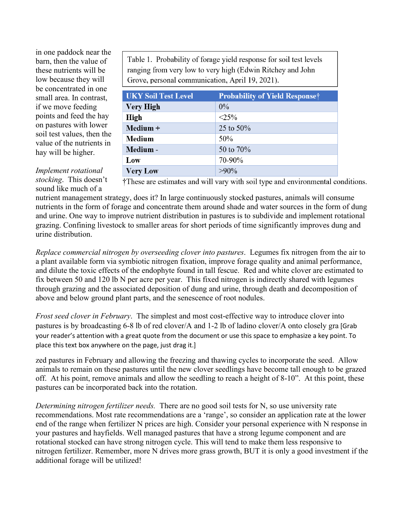in one paddock near the barn, then the value of these nutrients will be low because they will be concentrated in one small area. In contrast, if we move feeding points and feed the hay on pastures with lower soil test values, then the value of the nutrients in hay will be higher.

Table 1. Probability of forage yield response for soil test levels ranging from very low to very high (Edwin Ritchey and John Grove, personal communication, April 19, 2021).

| <b>UKY Soil Test Level</b> | <b>Probability of Yield Responset</b> |
|----------------------------|---------------------------------------|
| <b>Very High</b>           | $0\%$                                 |
| High                       | $<25\%$                               |
| Medium +                   | 25 to 50%                             |
| <b>Medium</b>              | 50%                                   |
| Medium -                   | 50 to 70%                             |
| Low                        | 70-90%                                |
| <b>Very Low</b>            | $>90\%$                               |

#### *Implement rotational stocking*. This doesn't sound like much of a

†These are estimates and will vary with soil type and environmental conditions.

nutrient management strategy, does it? In large continuously stocked pastures, animals will consume nutrients in the form of forage and concentrate them around shade and water sources in the form of dung and urine. One way to improve nutrient distribution in pastures is to subdivide and implement rotational grazing. Confining livestock to smaller areas for short periods of time significantly improves dung and urine distribution.

*Replace commercial nitrogen by overseeding clover into pastures*. Legumes fix nitrogen from the air to a plant available form via symbiotic nitrogen fixation, improve forage quality and animal performance, and dilute the toxic effects of the endophyte found in tall fescue. Red and white clover are estimated to fix between 50 and 120 lb N per acre per year. This fixed nitrogen is indirectly shared with legumes through grazing and the associated deposition of dung and urine, through death and decomposition of above and below ground plant parts, and the senescence of root nodules.

*Frost seed clover in February*. The simplest and most cost-effective way to introduce clover into pastures is by broadcasting 6-8 lb of red clover/A and 1-2 lb of ladino clover/A onto closely gra [Grab your reader's attention with a great quote from the document or use this space to emphasize a key point. To place this text box anywhere on the page, just drag it.]

zed pastures in February and allowing the freezing and thawing cycles to incorporate the seed. Allow animals to remain on these pastures until the new clover seedlings have become tall enough to be grazed off. At his point, remove animals and allow the seedling to reach a height of 8-10". At this point, these pastures can be incorporated back into the rotation.

*Determining nitrogen fertilizer needs.* There are no good soil tests for N, so use university rate recommendations. Most rate recommendations are a 'range', so consider an application rate at the lower end of the range when fertilizer N prices are high. Consider your personal experience with N response in your pastures and hayfields. Well managed pastures that have a strong legume component and are rotational stocked can have strong nitrogen cycle. This will tend to make them less responsive to nitrogen fertilizer. Remember, more N drives more grass growth, BUT it is only a good investment if the additional forage will be utilized!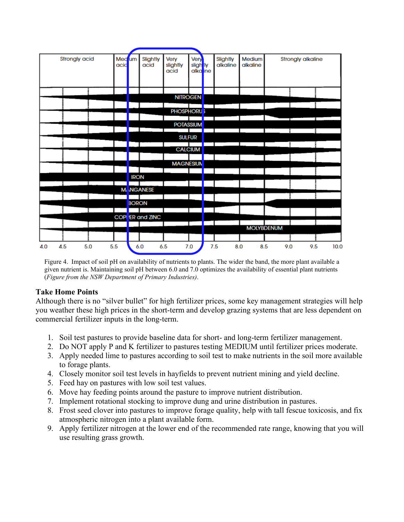

Figure 4. Impact of soil pH on availability of nutrients to plants. The wider the band, the more plant available a given nutrient is. Maintaining soil pH between 6.0 and 7.0 optimizes the availability of essential plant nutrients (*Figure from the NSW Department of Primary Industries)*.

### **Take Home Points**

Although there is no "silver bullet" for high fertilizer prices, some key management strategies will help you weather these high prices in the short-term and develop grazing systems that are less dependent on commercial fertilizer inputs in the long-term.

- 1. Soil test pastures to provide baseline data for short- and long-term fertilizer management.
- 2. Do NOT apply P and K fertilizer to pastures testing MEDIUM until fertilizer prices moderate.
- 3. Apply needed lime to pastures according to soil test to make nutrients in the soil more available to forage plants.
- 4. Closely monitor soil test levels in hayfields to prevent nutrient mining and yield decline.
- 5. Feed hay on pastures with low soil test values.
- 6. Move hay feeding points around the pasture to improve nutrient distribution.
- 7. Implement rotational stocking to improve dung and urine distribution in pastures.
- 8. Frost seed clover into pastures to improve forage quality, help with tall fescue toxicosis, and fix atmospheric nitrogen into a plant available form.
- 9. Apply fertilizer nitrogen at the lower end of the recommended rate range, knowing that you will use resulting grass growth.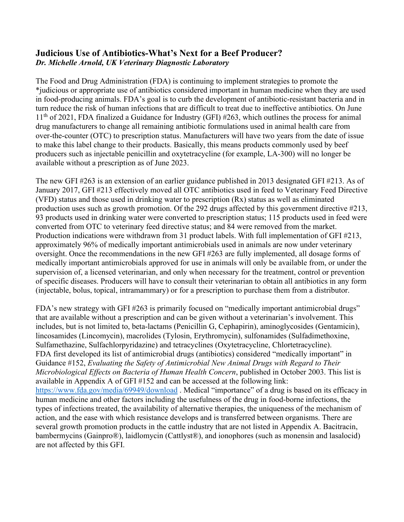## **Judicious Use of Antibiotics-What's Next for a Beef Producer?** *Dr. Michelle Arnold, UK Veterinary Diagnostic Laboratory*

The Food and Drug Administration (FDA) is continuing to implement strategies to promote the \*judicious or appropriate use of antibiotics considered important in human medicine when they are used in food-producing animals. FDA's goal is to curb the development of antibiotic-resistant bacteria and in turn reduce the risk of human infections that are difficult to treat due to ineffective antibiotics. On June 11<sup>th</sup> of 2021, FDA finalized a Guidance for Industry (GFI) #263, which outlines the process for animal drug manufacturers to change all remaining antibiotic formulations used in animal health care from over-the-counter (OTC) to prescription status. Manufacturers will have two years from the date of issue to make this label change to their products. Basically, this means products commonly used by beef producers such as injectable penicillin and oxytetracycline (for example, LA-300) will no longer be available without a prescription as of June 2023.

The new GFI #263 is an extension of an earlier guidance published in 2013 designated GFI #213. As of January 2017, GFI #213 effectively moved all OTC antibiotics used in feed to Veterinary Feed Directive (VFD) status and those used in drinking water to prescription (Rx) status as well as eliminated production uses such as growth promotion. Of the 292 drugs affected by this government directive #213, 93 products used in drinking water were converted to prescription status; 115 products used in feed were converted from OTC to veterinary feed directive status; and 84 were removed from the market. Production indications were withdrawn from 31 product labels. With full implementation of GFI #213, approximately 96% of medically important antimicrobials used in animals are now under veterinary oversight. Once the recommendations in the new GFI #263 are fully implemented, all dosage forms of medically important antimicrobials approved for use in animals will only be available from, or under the supervision of, a licensed veterinarian, and only when necessary for the treatment, control or prevention of specific diseases. Producers will have to consult their veterinarian to obtain all antibiotics in any form (injectable, bolus, topical, intramammary) or for a prescription to purchase them from a distributor.

FDA's new strategy with GFI #263 is primarily focused on "medically important antimicrobial drugs" that are available without a prescription and can be given without a veterinarian's involvement. This includes, but is not limited to, beta-lactams (Penicillin G, Cephapirin), aminoglycosides (Gentamicin), lincosamides (Lincomycin), macrolides (Tylosin, Erythromycin), sulfonamides (Sulfadimethoxine, Sulfamethazine, Sulfachlorpyridazine) and tetracyclines (Oxytetracycline, Chlortetracycline). FDA first developed its list of antimicrobial drugs (antibiotics) considered "medically important" in Guidance #152, *Evaluating the Safety of Antimicrobial New Animal Drugs with Regard to Their Microbiological Effects on Bacteria of Human Health Concern*, published in October 2003. This list is available in Appendix A of GFI #152 and can be accessed at the following link: <https://www.fda.gov/media/69949/download>. Medical "importance" of a drug is based on its efficacy in human medicine and other factors including the usefulness of the drug in food-borne infections, the types of infections treated, the availability of alternative therapies, the uniqueness of the mechanism of action, and the ease with which resistance develops and is transferred between organisms. There are several growth promotion products in the cattle industry that are not listed in Appendix A. Bacitracin, bambermycins (Gainpro®), laidlomycin (Cattlyst®), and ionophores (such as monensin and lasalocid) are not affected by this GFI.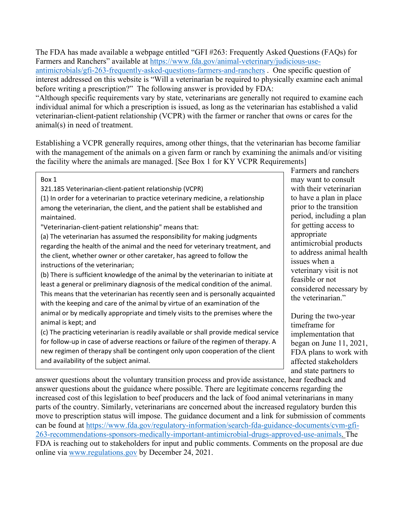The FDA has made available a webpage entitled "GFI #263: Frequently Asked Questions (FAQs) for Farmers and Ranchers" available at [https://www.fda.gov/animal-veterinary/judicious-use](https://www.fda.gov/animal-veterinary/judicious-use-antimicrobials/gfi-263-frequently-asked-questions-farmers-and-ranchers)[antimicrobials/gfi-263-frequently-asked-questions-farmers-and-ranchers](https://www.fda.gov/animal-veterinary/judicious-use-antimicrobials/gfi-263-frequently-asked-questions-farmers-and-ranchers) . One specific question of interest addressed on this website is "Will a veterinarian be required to physically examine each animal before writing a prescription?" The following answer is provided by FDA: "Although specific requirements vary by state, veterinarians are generally not required to examine each

individual animal for which a prescription is issued, as long as the veterinarian has established a valid veterinarian-client-patient relationship (VCPR) with the farmer or rancher that owns or cares for the animal(s) in need of treatment.

Establishing a VCPR generally requires, among other things, that the veterinarian has become familiar with the management of the animals on a given farm or ranch by examining the animals and/or visiting the facility where the animals are managed. [See Box 1 for KY VCPR Requirements]

Box 1

321.185 Veterinarian-client-patient relationship (VCPR)

(1) In order for a veterinarian to practice veterinary medicine, a relationship among the veterinarian, the client, and the patient shall be established and maintained.

"Veterinarian-client-patient relationship" means that:

(a) The veterinarian has assumed the responsibility for making judgments regarding the health of the animal and the need for veterinary treatment, and the client, whether owner or other caretaker, has agreed to follow the instructions of the veterinarian;

(b) There is sufficient knowledge of the animal by the veterinarian to initiate at least a general or preliminary diagnosis of the medical condition of the animal. This means that the veterinarian has recently seen and is personally acquainted with the keeping and care of the animal by virtue of an examination of the animal or by medically appropriate and timely visits to the premises where the animal is kept; and

(c) The practicing veterinarian is readily available or shall provide medical service for follow-up in case of adverse reactions or failure of the regimen of therapy. A new regimen of therapy shall be contingent only upon cooperation of the client and availability of the subject animal.

Farmers and ranchers may want to consult with their veterinarian to have a plan in place prior to the transition period, including a plan for getting access to appropriate antimicrobial products to address animal health issues when a veterinary visit is not feasible or not considered necessary by the veterinarian."

During the two-year timeframe for implementation that began on June 11, 2021, FDA plans to work with affected stakeholders and state partners to

answer questions about the voluntary transition process and provide assistance, hear feedback and answer questions about the guidance where possible. There are legitimate concerns regarding the increased cost of this legislation to beef producers and the lack of food animal veterinarians in many parts of the country. Similarly, veterinarians are concerned about the increased regulatory burden this move to prescription status will impose. The guidance document and a link for submission of comments can be found at [https://www.fda.gov/regulatory-information/search-fda-guidance-documents/cvm-gfi-](https://www.fda.gov/regulatory-information/search-fda-guidance-documents/cvm-gfi-263-recommendations-sponsors-medically-important-antimicrobial-drugs-approved-use-animals)[263-recommendations-sponsors-medically-important-antimicrobial-drugs-approved-use-animals.](https://www.fda.gov/regulatory-information/search-fda-guidance-documents/cvm-gfi-263-recommendations-sponsors-medically-important-antimicrobial-drugs-approved-use-animals) The FDA is reaching out to stakeholders for input and public comments. Comments on the proposal are due online via [www.regulations.gov](http://www.regulations.gov/) by December 24, 2021.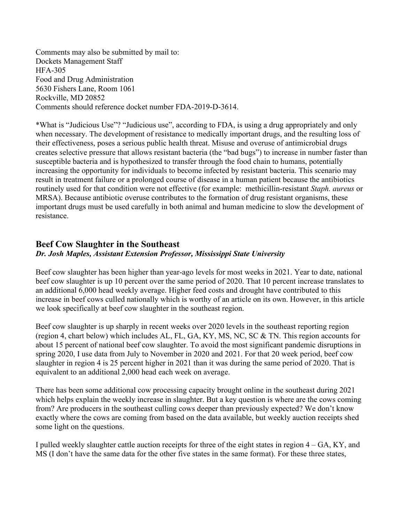Comments may also be submitted by mail to: Dockets Management Staff HFA-305 Food and Drug Administration 5630 Fishers Lane, Room 1061 Rockville, MD 20852 Comments should reference docket number FDA-2019-D-3614.

\*What is "Judicious Use"? "Judicious use", according to FDA, is using a drug appropriately and only when necessary. The development of resistance to medically important drugs, and the resulting loss of their effectiveness, poses a serious public health threat. Misuse and overuse of antimicrobial drugs creates selective pressure that allows resistant bacteria (the "bad bugs") to increase in number faster than susceptible bacteria and is hypothesized to transfer through the food chain to humans, potentially increasing the opportunity for individuals to become infected by resistant bacteria. This scenario may result in treatment failure or a prolonged course of disease in a human patient because the antibiotics routinely used for that condition were not effective (for example: methicillin-resistant *Staph. aureus* or MRSA). Because antibiotic overuse contributes to the formation of drug resistant organisms, these important drugs must be used carefully in both animal and human medicine to slow the development of resistance.

## **Beef Cow Slaughter in the Southeast** *Dr. Josh Maples, Assistant Extension Professor, Mississippi State University*

Beef cow slaughter has been higher than year-ago levels for most weeks in 2021. Year to date, national beef cow slaughter is up 10 percent over the same period of 2020. That 10 percent increase translates to an additional 6,000 head weekly average. Higher feed costs and drought have contributed to this increase in beef cows culled nationally which is worthy of an article on its own. However, in this article we look specifically at beef cow slaughter in the southeast region.

Beef cow slaughter is up sharply in recent weeks over 2020 levels in the southeast reporting region (region 4, chart below) which includes AL, FL, GA, KY, MS, NC, SC & TN. This region accounts for about 15 percent of national beef cow slaughter. To avoid the most significant pandemic disruptions in spring 2020, I use data from July to November in 2020 and 2021. For that 20 week period, beef cow slaughter in region 4 is 25 percent higher in 2021 than it was during the same period of 2020. That is equivalent to an additional 2,000 head each week on average.

There has been some additional cow processing capacity brought online in the southeast during 2021 which helps explain the weekly increase in slaughter. But a key question is where are the cows coming from? Are producers in the southeast culling cows deeper than previously expected? We don't know exactly where the cows are coming from based on the data available, but weekly auction receipts shed some light on the questions.

I pulled weekly slaughter cattle auction receipts for three of the eight states in region 4 – GA, KY, and MS (I don't have the same data for the other five states in the same format). For these three states,